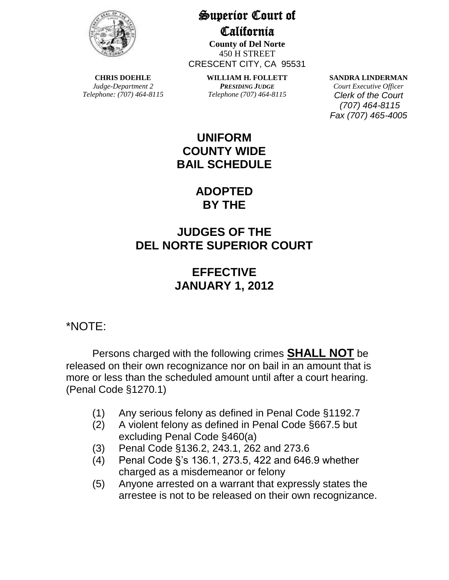

**CHRIS DOEHLE** *Judge-Department 2 Telephone: (707) 464-8115* Superior Court of California

**County of Del Norte** 450 H STREET CRESCENT CITY, CA 95531

> **WILLIAM H. FOLLETT** *PRESIDING JUDGE Telephone (707) 464-8115*

**SANDRA LINDERMAN**

*Court Executive Officer Clerk of the Court (707) 464-8115 Fax (707) 465-4005*

## **UNIFORM COUNTY WIDE BAIL SCHEDULE**

# **ADOPTED BY THE**

# **JUDGES OF THE DEL NORTE SUPERIOR COURT**

# **EFFECTIVE JANUARY 1, 2012**

## \*NOTE:

Persons charged with the following crimes **SHALL NOT** be released on their own recognizance nor on bail in an amount that is more or less than the scheduled amount until after a court hearing. (Penal Code §1270.1)

- (1) Any serious felony as defined in Penal Code §1192.7
- (2) A violent felony as defined in Penal Code §667.5 but excluding Penal Code §460(a)
- (3) Penal Code §136.2, 243.1, 262 and 273.6
- (4) Penal Code §'s 136.1, 273.5, 422 and 646.9 whether charged as a misdemeanor or felony
- (5) Anyone arrested on a warrant that expressly states the arrestee is not to be released on their own recognizance.